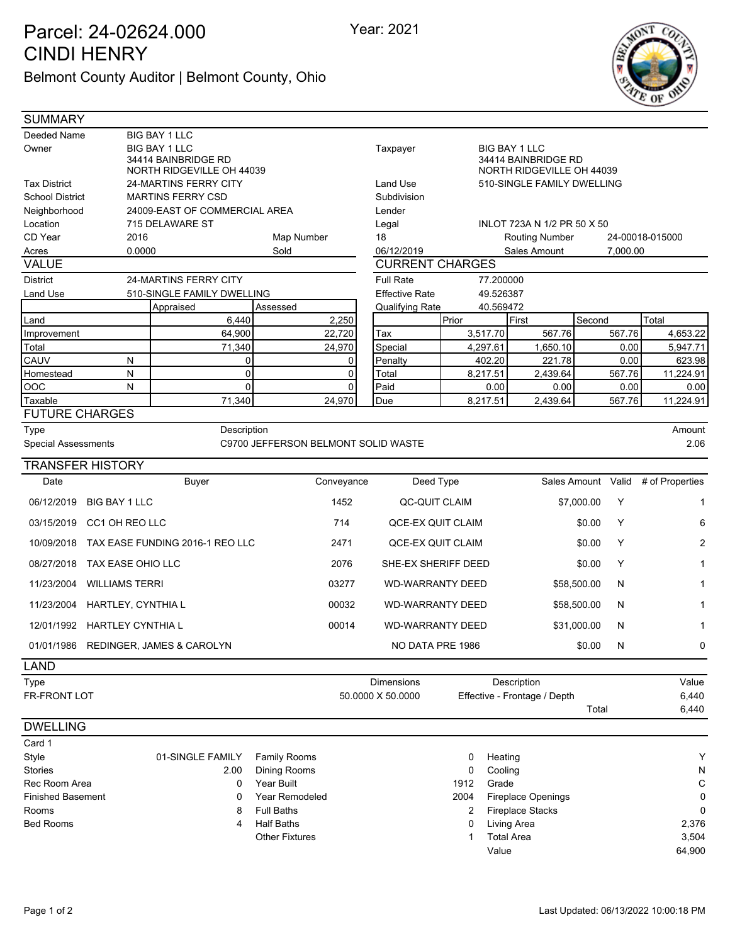## Parcel: 24-02624.000 Year: 2021 CINDI HENRY

Belmont County Auditor | Belmont County, Ohio



| <b>SUMMARY</b>                                      |                               |                                             |                                     |                       |                         |                                                                          |           |                              |             |          |                                    |
|-----------------------------------------------------|-------------------------------|---------------------------------------------|-------------------------------------|-----------------------|-------------------------|--------------------------------------------------------------------------|-----------|------------------------------|-------------|----------|------------------------------------|
| Deeded Name                                         |                               | <b>BIG BAY 1 LLC</b>                        |                                     |                       |                         |                                                                          |           |                              |             |          |                                    |
| Owner                                               |                               | <b>BIG BAY 1 LLC</b><br>34414 BAINBRIDGE RD |                                     |                       | Taxpayer                | <b>BIG BAY 1 LLC</b><br>34414 BAINBRIDGE RD<br>NORTH RIDGEVILLE OH 44039 |           |                              |             |          |                                    |
|                                                     |                               | NORTH RIDGEVILLE OH 44039                   |                                     |                       |                         |                                                                          |           |                              |             |          |                                    |
| <b>24-MARTINS FERRY CITY</b><br><b>Tax District</b> |                               |                                             |                                     |                       | <b>Land Use</b>         | 510-SINGLE FAMILY DWELLING                                               |           |                              |             |          |                                    |
| School District                                     |                               | <b>MARTINS FERRY CSD</b>                    |                                     |                       | Subdivision             |                                                                          |           |                              |             |          |                                    |
| Neighborhood                                        |                               | 24009-EAST OF COMMERCIAL AREA               |                                     |                       | Lender                  |                                                                          |           |                              |             |          |                                    |
| Location                                            |                               | 715 DELAWARE ST                             |                                     |                       | Legal                   |                                                                          |           | INLOT 723A N 1/2 PR 50 X 50  |             |          |                                    |
| CD Year                                             | 2016                          |                                             | Map Number                          |                       | 18                      |                                                                          |           | <b>Routing Number</b>        |             |          | 24-00018-015000                    |
| Acres                                               | 0.0000                        |                                             | Sold                                |                       | 06/12/2019              |                                                                          |           | Sales Amount                 |             | 7,000.00 |                                    |
| <b>VALUE</b>                                        |                               |                                             |                                     |                       | <b>CURRENT CHARGES</b>  |                                                                          |           |                              |             |          |                                    |
| <b>District</b><br>24-MARTINS FERRY CITY            |                               |                                             |                                     |                       | <b>Full Rate</b>        |                                                                          | 77.200000 |                              |             |          |                                    |
| Land Use                                            |                               | 510-SINGLE FAMILY DWELLING                  |                                     | <b>Effective Rate</b> |                         | 49.526387                                                                |           |                              |             |          |                                    |
|                                                     |                               | Appraised                                   | Assessed                            |                       | Qualifying Rate         |                                                                          | 40.569472 |                              |             |          |                                    |
| Land                                                |                               | 6,440                                       |                                     | 2,250                 |                         | Prior                                                                    |           | First                        | Second      |          | Total                              |
| Improvement                                         |                               | 64,900                                      |                                     | 22,720                | Tax                     |                                                                          | 3,517.70  | 567.76                       |             | 567.76   | 4,653.22                           |
| Total                                               |                               | 71,340                                      |                                     | 24,970                | Special                 |                                                                          | 4,297.61  | 1,650.10                     |             | 0.00     | 5,947.71                           |
| CAUV                                                | N                             | 0                                           |                                     | 0                     | Penalty                 |                                                                          | 402.20    | 221.78                       |             | 0.00     | 623.98                             |
| Homestead                                           | ${\sf N}$                     | $\mathbf 0$                                 |                                     | $\Omega$              | Total                   |                                                                          | 8,217.51  | 2,439.64                     |             | 567.76   | 11,224.91                          |
| OOC                                                 | N                             | $\mathbf 0$                                 |                                     | 0                     | Paid                    |                                                                          | 0.00      | 0.00                         |             | 0.00     | 0.00                               |
| Taxable                                             |                               | 71,340                                      |                                     | 24,970                | Due                     |                                                                          | 8,217.51  | 2,439.64                     |             | 567.76   | 11,224.91                          |
| <b>FUTURE CHARGES</b>                               |                               |                                             |                                     |                       |                         |                                                                          |           |                              |             |          |                                    |
| Type                                                |                               | Description                                 |                                     |                       |                         |                                                                          |           |                              |             |          | Amount                             |
| <b>Special Assessments</b>                          |                               |                                             | C9700 JEFFERSON BELMONT SOLID WASTE |                       |                         |                                                                          |           |                              |             |          | 2.06                               |
|                                                     | <b>TRANSFER HISTORY</b>       |                                             |                                     |                       |                         |                                                                          |           |                              |             |          |                                    |
| Date                                                |                               | <b>Buyer</b>                                |                                     | Conveyance            | Deed Type               |                                                                          |           |                              |             |          | Sales Amount Valid # of Properties |
| 06/12/2019                                          | BIG BAY 1 LLC                 |                                             |                                     | 1452                  | <b>QC-QUIT CLAIM</b>    |                                                                          |           |                              | \$7,000.00  | Y        | $\mathbf 1$                        |
| 03/15/2019                                          | CC1 OH REO LLC                |                                             |                                     | 714                   | QCE-EX QUIT CLAIM       |                                                                          |           |                              | \$0.00      | Y        | 6                                  |
| 10/09/2018                                          |                               | TAX EASE FUNDING 2016-1 REO LLC             |                                     | 2471                  | QCE-EX QUIT CLAIM       |                                                                          |           |                              | \$0.00      | Y        | 2                                  |
| 08/27/2018                                          | TAX EASE OHIO LLC             |                                             |                                     | 2076                  | SHE-EX SHERIFF DEED     |                                                                          |           |                              | \$0.00      | Y        | 1                                  |
| 11/23/2004                                          | <b>WILLIAMS TERRI</b>         |                                             |                                     | 03277                 | <b>WD-WARRANTY DEED</b> |                                                                          |           |                              | \$58,500.00 | N        |                                    |
|                                                     | 11/23/2004 HARTLEY, CYNTHIA L |                                             |                                     | 00032                 | <b>WD-WARRANTY DEED</b> |                                                                          |           |                              | \$58,500.00 | N        | 1                                  |
|                                                     | 12/01/1992 HARTLEY CYNTHIA L  |                                             |                                     | 00014                 | <b>WD-WARRANTY DEED</b> |                                                                          |           |                              | \$31,000.00 | N        | 1                                  |
|                                                     |                               | 01/01/1986 REDINGER, JAMES & CAROLYN        |                                     |                       | NO DATA PRE 1986        |                                                                          |           |                              | \$0.00      | N        | 0                                  |
| <b>LAND</b>                                         |                               |                                             |                                     |                       |                         |                                                                          |           |                              |             |          |                                    |
| Type                                                |                               |                                             |                                     |                       | <b>Dimensions</b>       |                                                                          |           | Description                  |             |          | Value                              |
| FR-FRONT LOT                                        |                               |                                             |                                     |                       | 50.0000 X 50.0000       |                                                                          |           | Effective - Frontage / Depth | Total       |          | 6,440<br>6,440                     |
| <b>DWELLING</b>                                     |                               |                                             |                                     |                       |                         |                                                                          |           |                              |             |          |                                    |
| Card 1                                              |                               |                                             |                                     |                       |                         |                                                                          |           |                              |             |          |                                    |
| Style                                               |                               | 01-SINGLE FAMILY                            | <b>Family Rooms</b>                 |                       |                         | 0                                                                        | Heating   |                              |             |          | Y                                  |
| <b>Stories</b>                                      |                               | 2.00                                        | Dining Rooms                        |                       |                         | 0                                                                        | Cooling   |                              |             |          | N                                  |
| Rec Room Area                                       |                               | 0                                           | Year Built                          |                       |                         | 1912                                                                     | Grade     |                              |             |          | C                                  |
| <b>Finished Basement</b>                            |                               | 0                                           | Year Remodeled                      |                       |                         | 2004                                                                     |           | <b>Fireplace Openings</b>    |             |          | 0                                  |
| Rooms                                               |                               | 8                                           | <b>Full Baths</b>                   |                       |                         | 2                                                                        |           | <b>Fireplace Stacks</b>      |             |          | $\Omega$                           |
| <b>Bed Rooms</b>                                    |                               | 4                                           | <b>Half Baths</b>                   |                       |                         | 0                                                                        |           | <b>Living Area</b>           |             |          | 2,376                              |

1 Total Area 3,504 Value 64,900